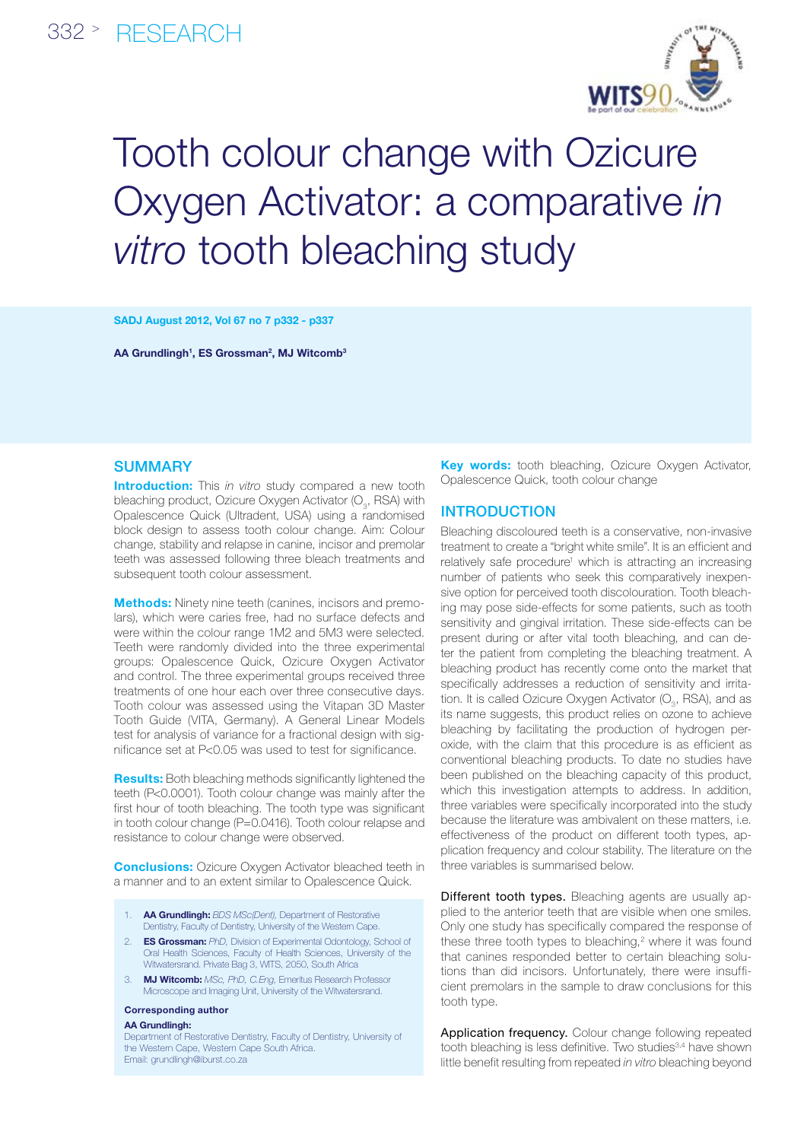

# Tooth colour change with Ozicure Oxygen Activator: a comparative *in vitro* tooth bleaching study

SADJ August 2012, Vol 67 no 7 p332 - p337

AA Grundlingh<sup>1</sup>, ES Grossman<sup>2</sup>, MJ Witcomb<sup>3</sup>

### **SUMMARY**

**Introduction:** This *in vitro* study compared a new tooth bleaching product, Ozicure Oxygen Activator (O $_{\rm 3}$ , RSA) with Opalescence Quick (Ultradent, USA) using a randomised block design to assess tooth colour change. Aim: Colour change, stability and relapse in canine, incisor and premolar teeth was assessed following three bleach treatments and subsequent tooth colour assessment.

**Methods:** Ninety nine teeth (canines, incisors and premolars), which were caries free, had no surface defects and were within the colour range 1M2 and 5M3 were selected. Teeth were randomly divided into the three experimental groups: Opalescence Quick, Ozicure Oxygen Activator and control. The three experimental groups received three treatments of one hour each over three consecutive days. Tooth colour was assessed using the Vitapan 3D Master Tooth Guide (VITA, Germany). A General Linear Models test for analysis of variance for a fractional design with significance set at P<0.05 was used to test for significance.

Results: Both bleaching methods significantly lightened the teeth (P<0.0001). Tooth colour change was mainly after the first hour of tooth bleaching. The tooth type was significant in tooth colour change (P=0.0416). Tooth colour relapse and resistance to colour change were observed.

**Conclusions:** Ozicure Oxygen Activator bleached teeth in a manner and to an extent similar to Opalescence Quick.

- 1. AA Grundlingh: *BDS MSc(Dent),* Department of Restorative Dentistry, Faculty of Dentistry, University of the Western Cape.
- 2. ES Grossman: *PhD,* Division of Experimental Odontology, School of Oral Health Sciences, Faculty of Health Sciences, University of the Witwatersrand. Private Bag 3, WITS, 2050, South Africa
- 3. MJ Witcomb: *MSc, PhD, C.Eng,* Emeritus Research Professor Microscope and Imaging Unit, University of the Witwatersrand.

#### Corresponding author

#### AA Grundlingh:

Department of Restorative Dentistry, Faculty of Dentistry, University of the Western Cape, Western Cape South Africa. Email: grundlingh@iburst.co.za

**Key words:** tooth bleaching, Ozicure Oxygen Activator, Opalescence Quick, tooth colour change

# **INTRODUCTION**

Bleaching discoloured teeth is a conservative, non-invasive treatment to create a "bright white smile". It is an efficient and relatively safe procedure<sup>1</sup> which is attracting an increasing number of patients who seek this comparatively inexpensive option for perceived tooth discolouration. Tooth bleaching may pose side-effects for some patients, such as tooth sensitivity and gingival irritation. These side-effects can be present during or after vital tooth bleaching, and can deter the patient from completing the bleaching treatment. A bleaching product has recently come onto the market that specifically addresses a reduction of sensitivity and irritation. It is called Ozicure Oxygen Activator ( $O_{3}$ , RSA), and as its name suggests, this product relies on ozone to achieve bleaching by facilitating the production of hydrogen peroxide, with the claim that this procedure is as efficient as conventional bleaching products. To date no studies have been published on the bleaching capacity of this product, which this investigation attempts to address. In addition, three variables were specifically incorporated into the study because the literature was ambivalent on these matters, i.e. effectiveness of the product on different tooth types, application frequency and colour stability. The literature on the three variables is summarised below.

Different tooth types. Bleaching agents are usually applied to the anterior teeth that are visible when one smiles. Only one study has specifically compared the response of these three tooth types to bleaching, $2$  where it was found that canines responded better to certain bleaching solutions than did incisors. Unfortunately, there were insufficient premolars in the sample to draw conclusions for this tooth type.

Application frequency. Colour change following repeated tooth bleaching is less definitive. Two studies<sup>3,4</sup> have shown little benefit resulting from repeated *in vitro* bleaching beyond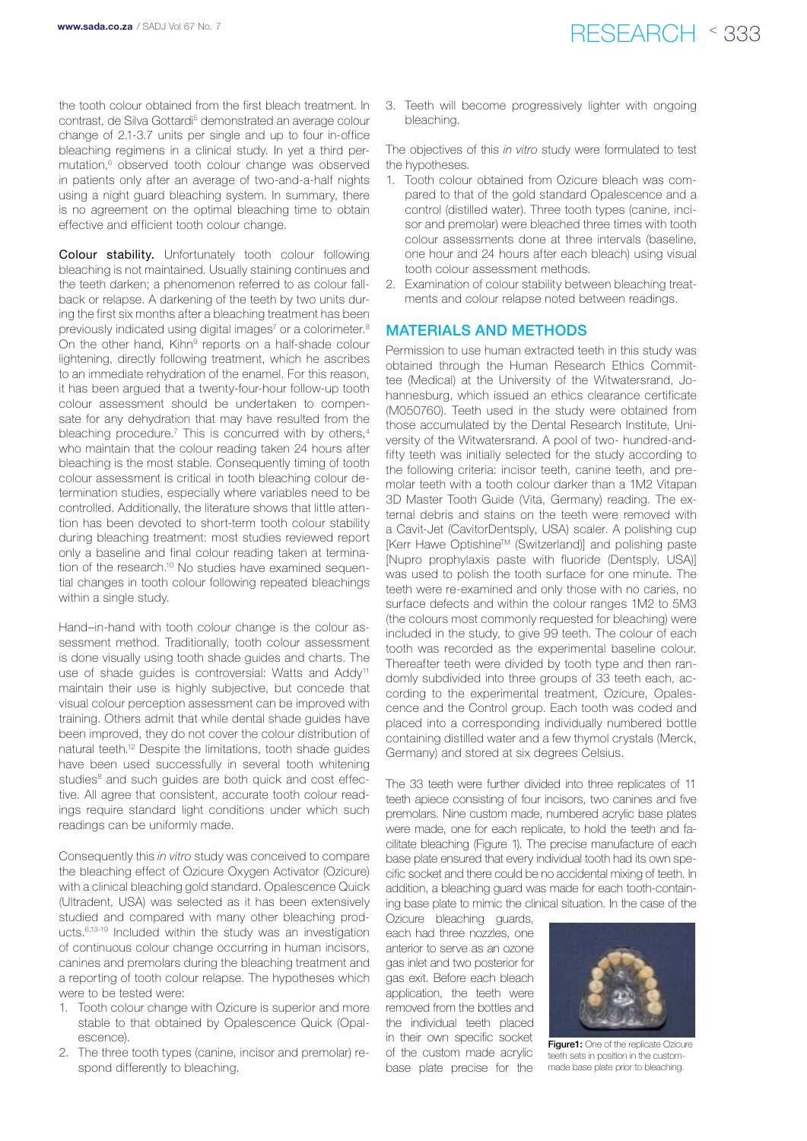the tooth colour obtained from the first bleach treatment. In contrast, de Silva Gottardi<sup>5</sup> demonstrated an average colour change of 2.1-3.7 units per single and up to four in-office bleaching regimens in a clinical study. In yet a third permutation,<sup>6</sup> observed tooth colour change was observed in patients only after an average of two-and-a-half nights using a night guard bleaching system. In summary, there is no agreement on the optimal bleaching time to obtain effective and efficient tooth colour change.

Colour stability. Unfortunately tooth colour following bleaching is not maintained. Usually staining continues and the teeth darken; a phenomenon referred to as colour fallback or relapse. A darkening of the teeth by two units during the first six months after a bleaching treatment has been previously indicated using digital images<sup>7</sup> or a colorimeter.<sup>8</sup> On the other hand, Kihn<sup>9</sup> reports on a half-shade colour lightening, directly following treatment, which he ascribes to an immediate rehydration of the enamel. For this reason, it has been argued that a twenty-four-hour follow-up tooth colour assessment should be undertaken to compensate for any dehydration that may have resulted from the bleaching procedure.<sup>7</sup> This is concurred with by others,<sup>4</sup> who maintain that the colour reading taken 24 hours after bleaching is the most stable. Consequently timing of tooth colour assessment is critical in tooth bleaching colour determination studies, especially where variables need to be controlled. Additionally, the literature shows that little attention has been devoted to short-term tooth colour stability during bleaching treatment: most studies reviewed report only a baseline and final colour reading taken at termination of the research.<sup>10</sup> No studies have examined sequential changes in tooth colour following repeated bleachings within a single study.

Hand–in-hand with tooth colour change is the colour assessment method. Traditionally, tooth colour assessment is done visually using tooth shade guides and charts. The use of shade guides is controversial: Watts and Addy<sup>11</sup> maintain their use is highly subjective, but concede that visual colour perception assessment can be improved with training. Others admit that while dental shade guides have been improved, they do not cover the colour distribution of natural teeth.12 Despite the limitations, tooth shade guides have been used successfully in several tooth whitening studies<sup>8</sup> and such quides are both quick and cost effective. All agree that consistent, accurate tooth colour readings require standard light conditions under which such readings can be uniformly made.

Consequently this *in vitro* study was conceived to compare the bleaching effect of Ozicure Oxygen Activator (Ozicure) with a clinical bleaching gold standard. Opalescence Quick (Ultradent, USA) was selected as it has been extensively studied and compared with many other bleaching products.6,13-19 Included within the study was an investigation of continuous colour change occurring in human incisors, canines and premolars during the bleaching treatment and a reporting of tooth colour relapse. The hypotheses which were to be tested were:

- 1. Tooth colour change with Ozicure is superior and more stable to that obtained by Opalescence Quick (Opalescence).
- 2. The three tooth types (canine, incisor and premolar) respond differently to bleaching.

3. Teeth will become progressively lighter with ongoing bleaching.

The objectives of this *in vitro* study were formulated to test the hypotheses.

- 1. Tooth colour obtained from Ozicure bleach was compared to that of the gold standard Opalescence and a control (distilled water). Three tooth types (canine, incisor and premolar) were bleached three times with tooth colour assessments done at three intervals (baseline, one hour and 24 hours after each bleach) using visual tooth colour assessment methods.
- 2. Examination of colour stability between bleaching treatments and colour relapse noted between readings.

## Materials and methods

Permission to use human extracted teeth in this study was obtained through the Human Research Ethics Committee (Medical) at the University of the Witwatersrand, Johannesburg, which issued an ethics clearance certificate (M050760). Teeth used in the study were obtained from those accumulated by the Dental Research Institute, University of the Witwatersrand. A pool of two- hundred-andfifty teeth was initially selected for the study according to the following criteria: incisor teeth, canine teeth, and premolar teeth with a tooth colour darker than a 1M2 Vitapan 3D Master Tooth Guide (Vita, Germany) reading. The external debris and stains on the teeth were removed with a Cavit-Jet (CavitorDentsply, USA) scaler. A polishing cup [Kerr Hawe OptishineTM (Switzerland)] and polishing paste [Nupro prophylaxis paste with fluoride (Dentsply, USA)] was used to polish the tooth surface for one minute. The teeth were re-examined and only those with no caries, no surface defects and within the colour ranges 1M2 to 5M3 (the colours most commonly requested for bleaching) were included in the study, to give 99 teeth. The colour of each tooth was recorded as the experimental baseline colour. Thereafter teeth were divided by tooth type and then randomly subdivided into three groups of 33 teeth each, according to the experimental treatment, Ozicure, Opalescence and the Control group. Each tooth was coded and placed into a corresponding individually numbered bottle containing distilled water and a few thymol crystals (Merck, Germany) and stored at six degrees Celsius.

The 33 teeth were further divided into three replicates of 11 teeth apiece consisting of four incisors, two canines and five premolars. Nine custom made, numbered acrylic base plates were made, one for each replicate, to hold the teeth and facilitate bleaching (Figure 1). The precise manufacture of each base plate ensured that every individual tooth had its own specific socket and there could be no accidental mixing of teeth. In addition, a bleaching guard was made for each tooth-containing base plate to mimic the clinical situation. In the case of the

Ozicure bleaching guards, each had three nozzles, one anterior to serve as an ozone gas inlet and two posterior for gas exit. Before each bleach application, the teeth were removed from the bottles and the individual teeth placed in their own specific socket of the custom made acrylic base plate precise for the



Figure1: One of the replicate Ozicure teeth sets in position in the custommade base plate prior to bleaching.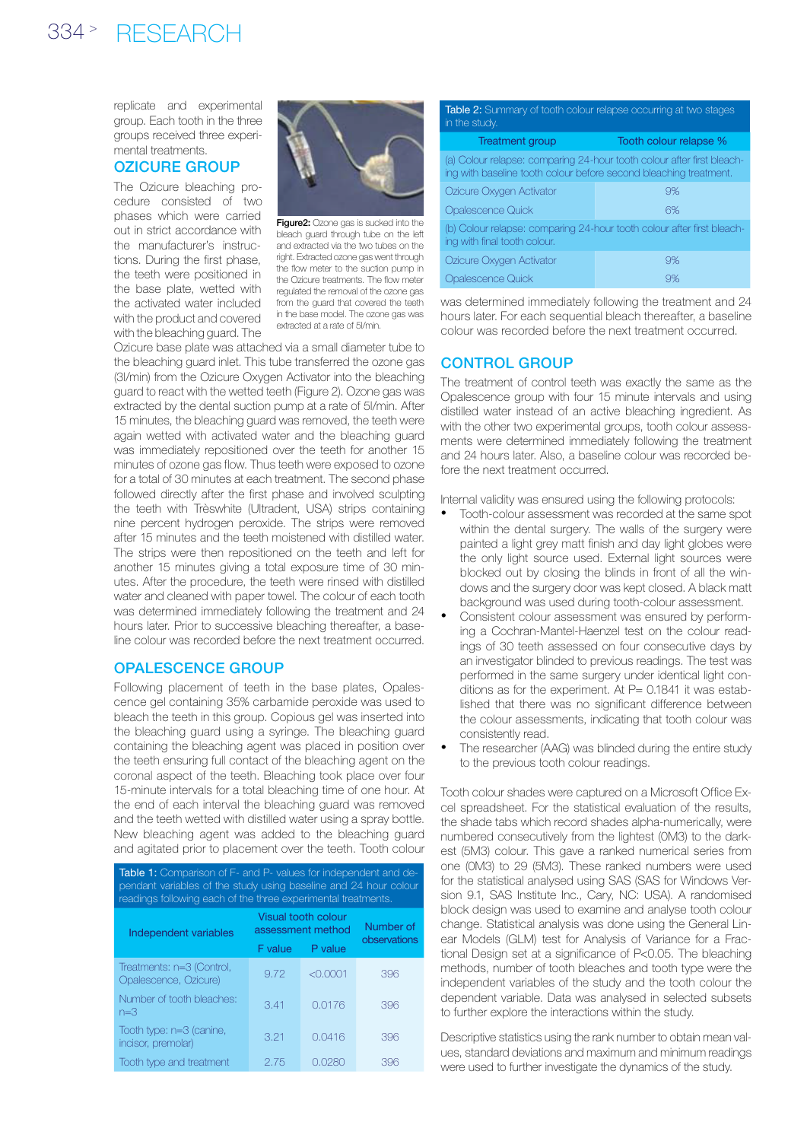# 334 <sup>&</sup>gt; research

replicate and experimental group. Each tooth in the three groups received three experimental treatments.

# Ozicure group

The Ozicure bleaching procedure consisted of two phases which were carried out in strict accordance with the manufacturer's instructions. During the first phase, the teeth were positioned in the base plate, wetted with the activated water included with the product and covered with the bleaching guard. The



Figure2: Ozone gas is sucked into the bleach guard through tube on the left and extracted via the two tubes on the right. Extracted ozone gas went through the flow meter to the suction pump in the Ozicure treatments. The flow meter regulated the removal of the ozone gas from the quard that covered the teeth in the base model. The ozone gas was extracted at a rate of 5l/min.

Ozicure base plate was attached via a small diameter tube to the bleaching guard inlet. This tube transferred the ozone gas (3l/min) from the Ozicure Oxygen Activator into the bleaching guard to react with the wetted teeth (Figure 2). Ozone gas was extracted by the dental suction pump at a rate of 5l/min. After 15 minutes, the bleaching guard was removed, the teeth were again wetted with activated water and the bleaching guard was immediately repositioned over the teeth for another 15 minutes of ozone gas flow. Thus teeth were exposed to ozone for a total of 30 minutes at each treatment. The second phase followed directly after the first phase and involved sculpting the teeth with Trèswhite (Ultradent, USA) strips containing nine percent hydrogen peroxide. The strips were removed after 15 minutes and the teeth moistened with distilled water. The strips were then repositioned on the teeth and left for another 15 minutes giving a total exposure time of 30 minutes. After the procedure, the teeth were rinsed with distilled water and cleaned with paper towel. The colour of each tooth was determined immediately following the treatment and 24 hours later. Prior to successive bleaching thereafter, a baseline colour was recorded before the next treatment occurred.

# Opalescence group

Following placement of teeth in the base plates, Opalescence gel containing 35% carbamide peroxide was used to bleach the teeth in this group. Copious gel was inserted into the bleaching guard using a syringe. The bleaching guard containing the bleaching agent was placed in position over the teeth ensuring full contact of the bleaching agent on the coronal aspect of the teeth. Bleaching took place over four 15-minute intervals for a total bleaching time of one hour. At the end of each interval the bleaching guard was removed and the teeth wetted with distilled water using a spray bottle. New bleaching agent was added to the bleaching guard and agitated prior to placement over the teeth. Tooth colour

| <b>Table 1:</b> Comparison of F- and P- values for independent and de-<br>pendant variables of the study using baseline and 24 hour colour<br>readings following each of the three experimental treatments. |                                          |          |                           |  |  |  |  |
|-------------------------------------------------------------------------------------------------------------------------------------------------------------------------------------------------------------|------------------------------------------|----------|---------------------------|--|--|--|--|
| Independent variables                                                                                                                                                                                       | Visual tooth colour<br>assessment method |          | Number of<br>observations |  |  |  |  |
|                                                                                                                                                                                                             | F value                                  | P value  |                           |  |  |  |  |
| Treatments: n=3 (Control,<br>Opalescence, Ozicure)                                                                                                                                                          | 9.72                                     | < 0.0001 | 396                       |  |  |  |  |
| Number of tooth bleaches:<br>$n = 3$                                                                                                                                                                        | 3.41                                     | 0.0176   | 396                       |  |  |  |  |
| Tooth type: n=3 (canine,<br>incisor, premolar)                                                                                                                                                              | 3.21                                     | 0.0416   | 396                       |  |  |  |  |
| Tooth type and treatment                                                                                                                                                                                    | 2.75                                     | 0.0280   | 396                       |  |  |  |  |

#### Table 2: Summary of tooth colour relapse occurring at two stages in the study.

| <b>Treatment group</b>                                                                                                                      | Tooth colour relapse % |  |  |  |  |
|---------------------------------------------------------------------------------------------------------------------------------------------|------------------------|--|--|--|--|
| (a) Colour relapse: comparing 24-hour tooth colour after first bleach-<br>ing with baseline tooth colour before second bleaching treatment. |                        |  |  |  |  |
| Ozicure Oxygen Activator                                                                                                                    | 9%                     |  |  |  |  |
| Opalescence Quick                                                                                                                           | 6%                     |  |  |  |  |
| (b) Colour relapse: comparing 24-hour tooth colour after first bleach-<br>ing with final tooth colour.                                      |                        |  |  |  |  |
| Ozicure Oxygen Activator                                                                                                                    | 9%                     |  |  |  |  |
| Opalescence Quick                                                                                                                           | 9%                     |  |  |  |  |

was determined immediately following the treatment and 24 hours later. For each sequential bleach thereafter, a baseline colour was recorded before the next treatment occurred.

# CONTROL GROUP

The treatment of control teeth was exactly the same as the Opalescence group with four 15 minute intervals and using distilled water instead of an active bleaching ingredient. As with the other two experimental groups, tooth colour assessments were determined immediately following the treatment and 24 hours later. Also, a baseline colour was recorded before the next treatment occurred.

Internal validity was ensured using the following protocols:

- Tooth-colour assessment was recorded at the same spot within the dental surgery. The walls of the surgery were painted a light grey matt finish and day light globes were the only light source used. External light sources were blocked out by closing the blinds in front of all the windows and the surgery door was kept closed. A black matt background was used during tooth-colour assessment.
- Consistent colour assessment was ensured by performing a Cochran-Mantel-Haenzel test on the colour readings of 30 teeth assessed on four consecutive days by an investigator blinded to previous readings. The test was performed in the same surgery under identical light conditions as for the experiment. At  $P= 0.1841$  it was established that there was no significant difference between the colour assessments, indicating that tooth colour was consistently read.
- The researcher (AAG) was blinded during the entire study to the previous tooth colour readings.

Tooth colour shades were captured on a Microsoft Office Excel spreadsheet. For the statistical evaluation of the results, the shade tabs which record shades alpha-numerically, were numbered consecutively from the lightest (0M3) to the darkest (5M3) colour. This gave a ranked numerical series from one (0M3) to 29 (5M3). These ranked numbers were used for the statistical analysed using SAS (SAS for Windows Version 9.1, SAS Institute Inc., Cary, NC: USA). A randomised block design was used to examine and analyse tooth colour change. Statistical analysis was done using the General Linear Models (GLM) test for Analysis of Variance for a Fractional Design set at a significance of P<0.05. The bleaching methods, number of tooth bleaches and tooth type were the independent variables of the study and the tooth colour the dependent variable. Data was analysed in selected subsets to further explore the interactions within the study.

Descriptive statistics using the rank number to obtain mean values, standard deviations and maximum and minimum readings were used to further investigate the dynamics of the study.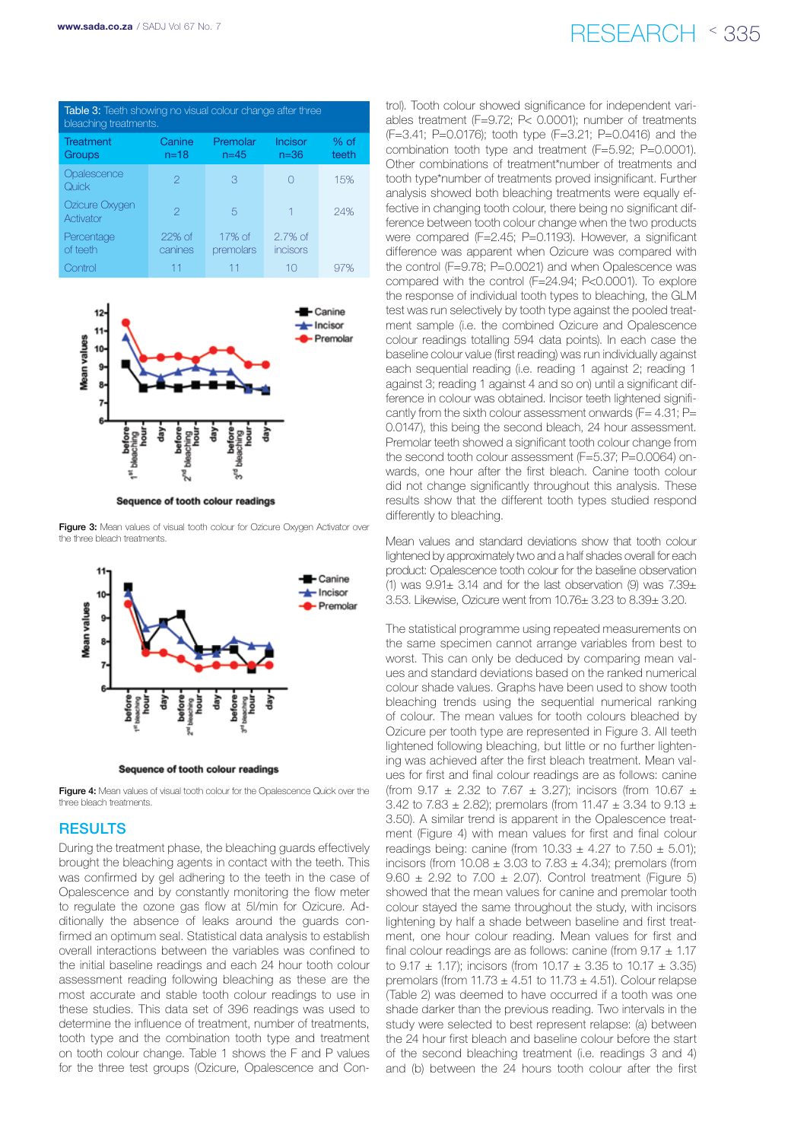# www.sada.co.za / SADJ Vol 67 No. 7  $\mathsf{RFSFARCH} \times 335$

| <b>Table 3:</b> Teeth showing no visual colour change after three<br>bleaching treatments. |                    |                      |                               |                 |  |  |  |
|--------------------------------------------------------------------------------------------|--------------------|----------------------|-------------------------------|-----------------|--|--|--|
| Treatment<br><b>Groups</b>                                                                 | Canine<br>$n = 18$ | Premolar<br>$n = 45$ | Incisor<br>$n = 36$           | $%$ of<br>teeth |  |  |  |
| Opalescence<br>Quick                                                                       | 2                  | З                    |                               | 15%             |  |  |  |
| Ozicure Oxygen<br>Activator                                                                | 2                  | 5                    |                               | 24%             |  |  |  |
| Percentage<br>of teeth                                                                     | 22% of<br>canines  | 17% of<br>premolars  | $2.7\%$ of<br><i>incisors</i> |                 |  |  |  |
| Control                                                                                    |                    |                      | 10                            |                 |  |  |  |



Sequence of tooth colour readings

Figure 3: Mean values of visual tooth colour for Ozicure Oxygen Activator over the three bleach treatments.



Sequence of tooth colour readings

Figure 4: Mean values of visual tooth colour for the Opalescence Quick over the three bleach treatments.

## **RESULTS**

During the treatment phase, the bleaching guards effectively brought the bleaching agents in contact with the teeth. This was confirmed by gel adhering to the teeth in the case of Opalescence and by constantly monitoring the flow meter to regulate the ozone gas flow at 5l/min for Ozicure. Additionally the absence of leaks around the guards confirmed an optimum seal. Statistical data analysis to establish overall interactions between the variables was confined to the initial baseline readings and each 24 hour tooth colour assessment reading following bleaching as these are the most accurate and stable tooth colour readings to use in these studies. This data set of 396 readings was used to determine the influence of treatment, number of treatments, tooth type and the combination tooth type and treatment on tooth colour change. Table 1 shows the F and P values for the three test groups (Ozicure, Opalescence and Con-

trol). Tooth colour showed significance for independent variables treatment (F=9.72; P< 0.0001); number of treatments (F=3.41; P=0.0176); tooth type (F=3.21; P=0.0416) and the combination tooth type and treatment (F=5.92; P=0.0001). Other combinations of treatment\*number of treatments and tooth type\*number of treatments proved insignificant. Further analysis showed both bleaching treatments were equally effective in changing tooth colour, there being no significant difference between tooth colour change when the two products were compared (F=2.45; P=0.1193). However, a significant difference was apparent when Ozicure was compared with the control (F=9.78; P=0.0021) and when Opalescence was compared with the control (F=24.94; P<0.0001). To explore the response of individual tooth types to bleaching, the GLM test was run selectively by tooth type against the pooled treatment sample (i.e. the combined Ozicure and Opalescence colour readings totalling 594 data points). In each case the baseline colour value (first reading) was run individually against each sequential reading (i.e. reading 1 against 2; reading 1 against 3; reading 1 against 4 and so on) until a significant difference in colour was obtained. Incisor teeth lightened significantly from the sixth colour assessment onwards (F= 4.31; P= 0.0147), this being the second bleach, 24 hour assessment. Premolar teeth showed a significant tooth colour change from the second tooth colour assessment (F=5.37; P=0.0064) onwards, one hour after the first bleach. Canine tooth colour did not change significantly throughout this analysis. These results show that the different tooth types studied respond differently to bleaching.

Mean values and standard deviations show that tooth colour lightened by approximately two and a half shades overall for each product: Opalescence tooth colour for the baseline observation (1) was  $9.91\pm 3.14$  and for the last observation (9) was  $7.39\pm$ 3.53. Likewise, Ozicure went from 10.76± 3.23 to 8.39± 3.20.

The statistical programme using repeated measurements on the same specimen cannot arrange variables from best to worst. This can only be deduced by comparing mean values and standard deviations based on the ranked numerical colour shade values. Graphs have been used to show tooth bleaching trends using the sequential numerical ranking of colour. The mean values for tooth colours bleached by Ozicure per tooth type are represented in Figure 3. All teeth lightened following bleaching, but little or no further lightening was achieved after the first bleach treatment. Mean values for first and final colour readings are as follows: canine (from 9.17  $\pm$  2.32 to 7.67  $\pm$  3.27); incisors (from 10.67  $\pm$ 3.42 to 7.83  $\pm$  2.82); premolars (from 11.47  $\pm$  3.34 to 9.13  $\pm$ 3.50). A similar trend is apparent in the Opalescence treatment (Figure 4) with mean values for first and final colour readings being: canine (from  $10.33 \pm 4.27$  to  $7.50 \pm 5.01$ ); incisors (from  $10.08 \pm 3.03$  to  $7.83 \pm 4.34$ ); premolars (from 9.60  $\pm$  2.92 to 7.00  $\pm$  2.07). Control treatment (Figure 5) showed that the mean values for canine and premolar tooth colour stayed the same throughout the study, with incisors lightening by half a shade between baseline and first treatment, one hour colour reading. Mean values for first and final colour readings are as follows: canine (from  $9.17 \pm 1.17$ ) to 9.17  $\pm$  1.17); incisors (from 10.17  $\pm$  3.35 to 10.17  $\pm$  3.35) premolars (from  $11.73 \pm 4.51$  to  $11.73 \pm 4.51$ ). Colour relapse (Table 2) was deemed to have occurred if a tooth was one shade darker than the previous reading. Two intervals in the study were selected to best represent relapse: (a) between the 24 hour first bleach and baseline colour before the start of the second bleaching treatment (i.e. readings 3 and 4) and (b) between the 24 hours tooth colour after the first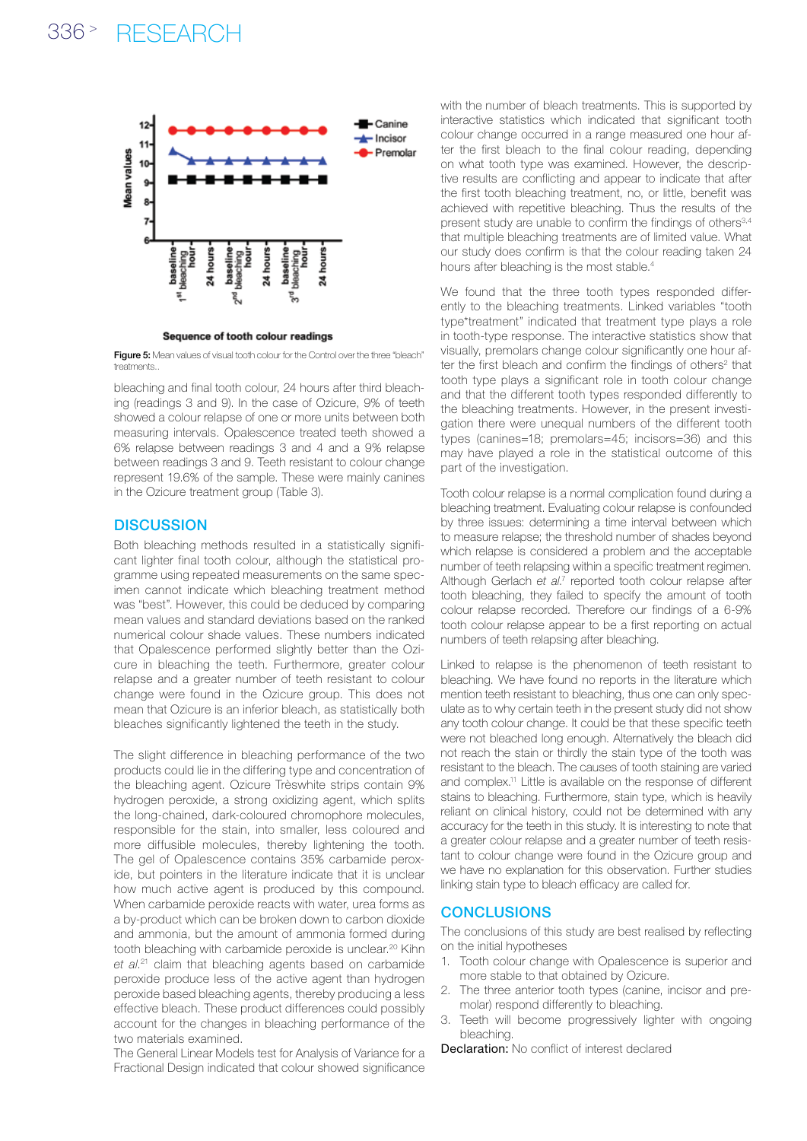# 336 <sup>&</sup>gt; research



Sequence of tooth colour readings

Figure 5: Mean values of visual tooth colour for the Control over the three "bleach" treatments..

bleaching and final tooth colour, 24 hours after third bleaching (readings 3 and 9). In the case of Ozicure, 9% of teeth showed a colour relapse of one or more units between both measuring intervals. Opalescence treated teeth showed a 6% relapse between readings 3 and 4 and a 9% relapse between readings 3 and 9. Teeth resistant to colour change represent 19.6% of the sample. These were mainly canines in the Ozicure treatment group (Table 3).

## **DISCUSSION**

Both bleaching methods resulted in a statistically significant lighter final tooth colour, although the statistical programme using repeated measurements on the same specimen cannot indicate which bleaching treatment method was "best". However, this could be deduced by comparing mean values and standard deviations based on the ranked numerical colour shade values. These numbers indicated that Opalescence performed slightly better than the Ozicure in bleaching the teeth. Furthermore, greater colour relapse and a greater number of teeth resistant to colour change were found in the Ozicure group. This does not mean that Ozicure is an inferior bleach, as statistically both bleaches significantly lightened the teeth in the study.

The slight difference in bleaching performance of the two products could lie in the differing type and concentration of the bleaching agent. Ozicure Trèswhite strips contain 9% hydrogen peroxide, a strong oxidizing agent, which splits the long-chained, dark-coloured chromophore molecules, responsible for the stain, into smaller, less coloured and more diffusible molecules, thereby lightening the tooth. The gel of Opalescence contains 35% carbamide peroxide, but pointers in the literature indicate that it is unclear how much active agent is produced by this compound. When carbamide peroxide reacts with water, urea forms as a by-product which can be broken down to carbon dioxide and ammonia, but the amount of ammonia formed during tooth bleaching with carbamide peroxide is unclear.<sup>20</sup> Kihn *et al*. 21 claim that bleaching agents based on carbamide peroxide produce less of the active agent than hydrogen peroxide based bleaching agents, thereby producing a less effective bleach. These product differences could possibly account for the changes in bleaching performance of the two materials examined.

The General Linear Models test for Analysis of Variance for a Fractional Design indicated that colour showed significance with the number of bleach treatments. This is supported by interactive statistics which indicated that significant tooth colour change occurred in a range measured one hour after the first bleach to the final colour reading, depending on what tooth type was examined. However, the descriptive results are conflicting and appear to indicate that after the first tooth bleaching treatment, no, or little, benefit was achieved with repetitive bleaching. Thus the results of the present study are unable to confirm the findings of others<sup>3,4</sup> that multiple bleaching treatments are of limited value. What our study does confirm is that the colour reading taken 24 hours after bleaching is the most stable.<sup>4</sup>

We found that the three tooth types responded differently to the bleaching treatments. Linked variables "tooth type\*treatment" indicated that treatment type plays a role in tooth-type response. The interactive statistics show that visually, premolars change colour significantly one hour after the first bleach and confirm the findings of others<sup>2</sup> that tooth type plays a significant role in tooth colour change and that the different tooth types responded differently to the bleaching treatments. However, in the present investigation there were unequal numbers of the different tooth types (canines=18; premolars=45; incisors=36) and this may have played a role in the statistical outcome of this part of the investigation.

Tooth colour relapse is a normal complication found during a bleaching treatment. Evaluating colour relapse is confounded by three issues: determining a time interval between which to measure relapse; the threshold number of shades beyond which relapse is considered a problem and the acceptable number of teeth relapsing within a specific treatment regimen. Although Gerlach et al.<sup>7</sup> reported tooth colour relapse after tooth bleaching, they failed to specify the amount of tooth colour relapse recorded. Therefore our findings of a 6-9% tooth colour relapse appear to be a first reporting on actual numbers of teeth relapsing after bleaching.

Linked to relapse is the phenomenon of teeth resistant to bleaching. We have found no reports in the literature which mention teeth resistant to bleaching, thus one can only speculate as to why certain teeth in the present study did not show any tooth colour change. It could be that these specific teeth were not bleached long enough. Alternatively the bleach did not reach the stain or thirdly the stain type of the tooth was resistant to the bleach. The causes of tooth staining are varied and complex.<sup>11</sup> Little is available on the response of different stains to bleaching. Furthermore, stain type, which is heavily reliant on clinical history, could not be determined with any accuracy for the teeth in this study. It is interesting to note that a greater colour relapse and a greater number of teeth resistant to colour change were found in the Ozicure group and we have no explanation for this observation. Further studies linking stain type to bleach efficacy are called for.

### **CONCLUSIONS**

The conclusions of this study are best realised by reflecting on the initial hypotheses

- 1. Tooth colour change with Opalescence is superior and more stable to that obtained by Ozicure.
- 2. The three anterior tooth types (canine, incisor and premolar) respond differently to bleaching.
- Teeth will become progressively lighter with ongoing bleaching.

Declaration: No conflict of interest declared